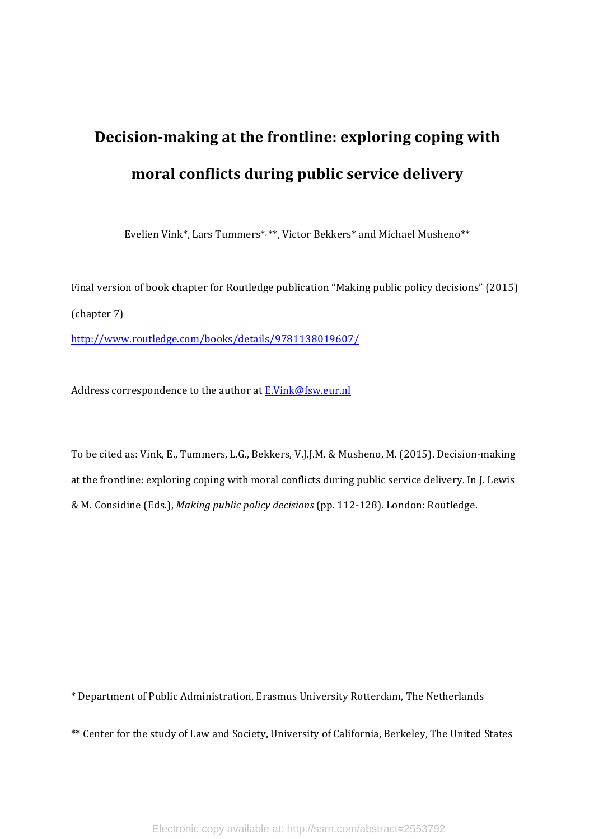# **Decision-making at the frontline: exploring coping with moral conflicts during public service delivery**

Evelien Vink\*, Lars Tummers\*, \*\*, Victor Bekkers\* and Michael Musheno\*\*

Final version of book chapter for Routledge publication "Making public policy decisions" (2015) (chapter 7) http://www.routledge.com/books/details/9781138019607/

Address correspondence to the author at E.Vink@fsw.eur.nl

To be cited as: Vink, E., Tummers, L.G., Bekkers, V.J.J.M. & Musheno, M. (2015). Decision-making at the frontline: exploring coping with moral conflicts during public service delivery. In J. Lewis & M. Considine (Eds.), Making public policy decisions (pp. 112-128). London: Routledge.

\* Department of Public Administration, Erasmus University Rotterdam, The Netherlands 

\*\* Center for the study of Law and Society, University of California, Berkeley, The United States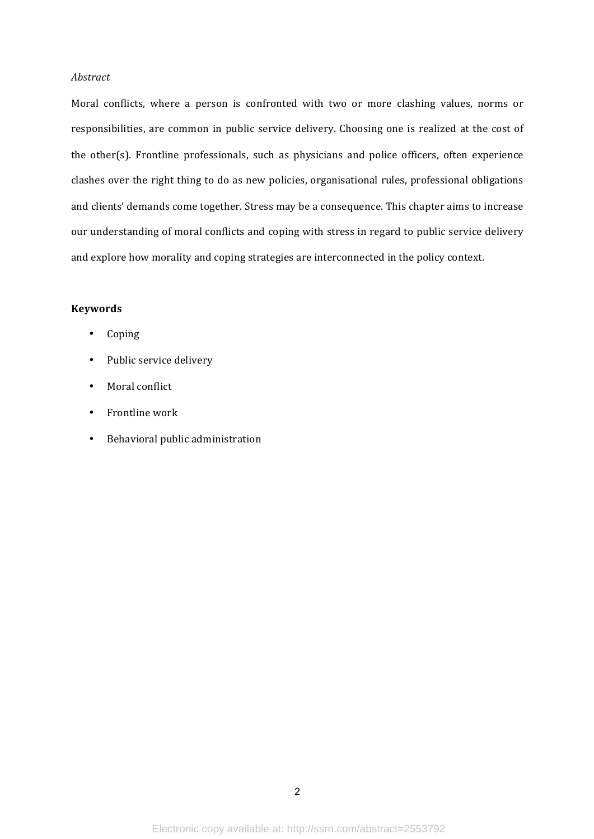## *Abstract*

Moral conflicts, where a person is confronted with two or more clashing values, norms or responsibilities, are common in public service delivery. Choosing one is realized at the cost of the other(s). Frontline professionals, such as physicians and police officers, often experience clashes over the right thing to do as new policies, organisational rules, professional obligations and clients' demands come together. Stress may be a consequence. This chapter aims to increase our understanding of moral conflicts and coping with stress in regard to public service delivery and explore how morality and coping strategies are interconnected in the policy context.

# **Keywords**

- Coping
- Public service delivery
- Moral conflict
- Frontline work
- Behavioral public administration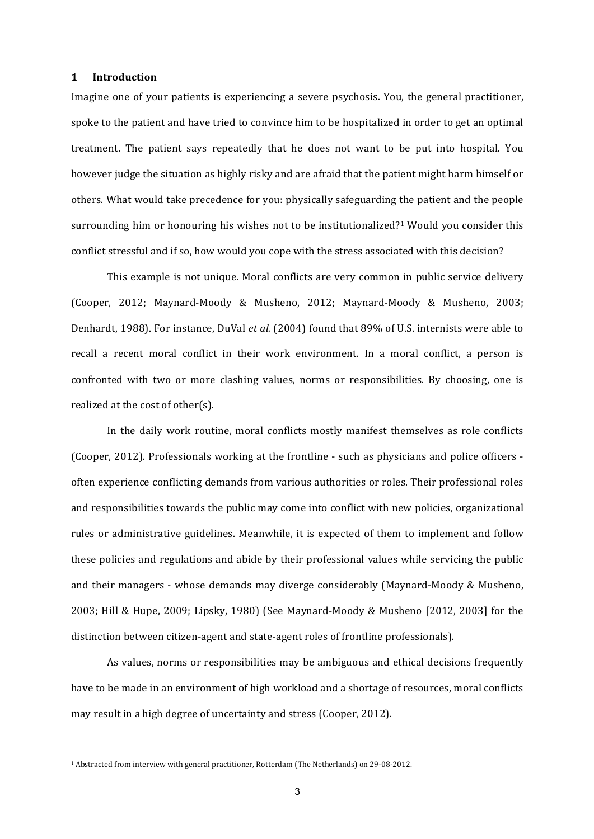#### **1 Introduction**

Imagine one of your patients is experiencing a severe psychosis. You, the general practitioner, spoke to the patient and have tried to convince him to be hospitalized in order to get an optimal treatment. The patient says repeatedly that he does not want to be put into hospital. You however judge the situation as highly risky and are afraid that the patient might harm himself or others. What would take precedence for you: physically safeguarding the patient and the people surrounding him or honouring his wishes not to be institutionalized?<sup>1</sup> Would you consider this conflict stressful and if so, how would you cope with the stress associated with this decision?

This example is not unique. Moral conflicts are very common in public service delivery (Cooper, 2012; Maynard-Moody & Musheno, 2012; Maynard-Moody & Musheno, 2003; Denhardt, 1988). For instance, DuVal et al. (2004) found that 89% of U.S. internists were able to recall a recent moral conflict in their work environment. In a moral conflict, a person is confronted with two or more clashing values, norms or responsibilities. By choosing, one is realized at the cost of other(s).

In the daily work routine, moral conflicts mostly manifest themselves as role conflicts (Cooper, 2012). Professionals working at the frontline - such as physicians and police officers often experience conflicting demands from various authorities or roles. Their professional roles and responsibilities towards the public may come into conflict with new policies, organizational rules or administrative guidelines. Meanwhile, it is expected of them to implement and follow these policies and regulations and abide by their professional values while servicing the public and their managers - whose demands may diverge considerably (Maynard-Moody & Musheno, 2003; Hill & Hupe, 2009; Lipsky, 1980) (See Maynard-Moody & Musheno  $[2012, 2003]$  for the distinction between citizen-agent and state-agent roles of frontline professionals).

As values, norms or responsibilities may be ambiguous and ethical decisions frequently have to be made in an environment of high workload and a shortage of resources, moral conflicts may result in a high degree of uncertainty and stress (Cooper, 2012).

<u> 1989 - Johann Stein, marwolaethau a bh</u>

<sup>&</sup>lt;sup>1</sup> Abstracted from interview with general practitioner, Rotterdam (The Netherlands) on 29-08-2012.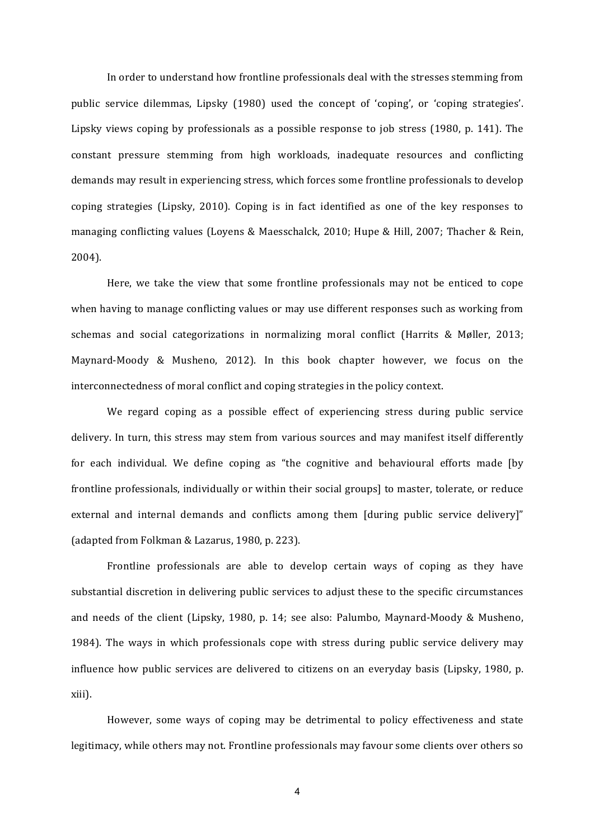In order to understand how frontline professionals deal with the stresses stemming from public service dilemmas, Lipsky (1980) used the concept of 'coping', or 'coping strategies'. Lipsky views coping by professionals as a possible response to job stress  $(1980, p. 141)$ . The constant pressure stemming from high workloads, inadequate resources and conflicting demands may result in experiencing stress, which forces some frontline professionals to develop coping strategies (Lipsky, 2010). Coping is in fact identified as one of the key responses to managing conflicting values (Loyens & Maesschalck, 2010; Hupe & Hill, 2007; Thacher & Rein, 2004). 

Here, we take the view that some frontline professionals may not be enticed to cope when having to manage conflicting values or may use different responses such as working from schemas and social categorizations in normalizing moral conflict (Harrits  $\&$  Møller, 2013; Maynard-Moody & Musheno, 2012). In this book chapter however, we focus on the interconnectedness of moral conflict and coping strategies in the policy context.

We regard coping as a possible effect of experiencing stress during public service delivery. In turn, this stress may stem from various sources and may manifest itself differently for each individual. We define coping as "the cognitive and behavioural efforts made [by frontline professionals, individually or within their social groups] to master, tolerate, or reduce external and internal demands and conflicts among them  $\lceil \text{during public service delivery} \rceil$ " (adapted from Folkman & Lazarus, 1980, p. 223).

Frontline professionals are able to develop certain ways of coping as they have substantial discretion in delivering public services to adjust these to the specific circumstances and needs of the client (Lipsky, 1980, p. 14; see also: Palumbo, Maynard-Moody & Musheno, 1984). The ways in which professionals cope with stress during public service delivery may influence how public services are delivered to citizens on an everyday basis (Lipsky, 1980, p. xiii). 

However, some ways of coping may be detrimental to policy effectiveness and state legitimacy, while others may not. Frontline professionals may favour some clients over others so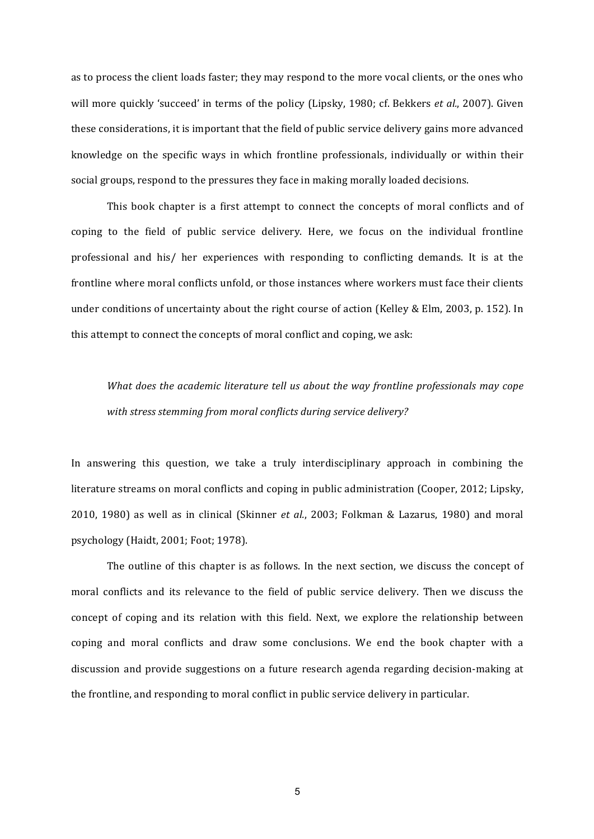as to process the client loads faster; they may respond to the more vocal clients, or the ones who will more quickly 'succeed' in terms of the policy (Lipsky, 1980; cf. Bekkers et al., 2007). Given these considerations, it is important that the field of public service delivery gains more advanced knowledge on the specific ways in which frontline professionals, individually or within their social groups, respond to the pressures they face in making morally loaded decisions.

This book chapter is a first attempt to connect the concepts of moral conflicts and of coping to the field of public service delivery. Here, we focus on the individual frontline professional and his/ her experiences with responding to conflicting demands. It is at the frontline where moral conflicts unfold, or those instances where workers must face their clients under conditions of uncertainty about the right course of action (Kelley & Elm, 2003, p. 152). In this attempt to connect the concepts of moral conflict and coping, we ask:

*What does the academic literature tell us about the way frontline professionals may cope* with stress stemming from moral conflicts during service delivery?

In answering this question, we take a truly interdisciplinary approach in combining the literature streams on moral conflicts and coping in public administration (Cooper, 2012; Lipsky, 2010, 1980) as well as in clinical (Skinner *et al.*, 2003; Folkman & Lazarus, 1980) and moral psychology (Haidt, 2001; Foot; 1978).

The outline of this chapter is as follows. In the next section, we discuss the concept of moral conflicts and its relevance to the field of public service delivery. Then we discuss the concept of coping and its relation with this field. Next, we explore the relationship between coping and moral conflicts and draw some conclusions. We end the book chapter with a discussion and provide suggestions on a future research agenda regarding decision-making at the frontline, and responding to moral conflict in public service delivery in particular.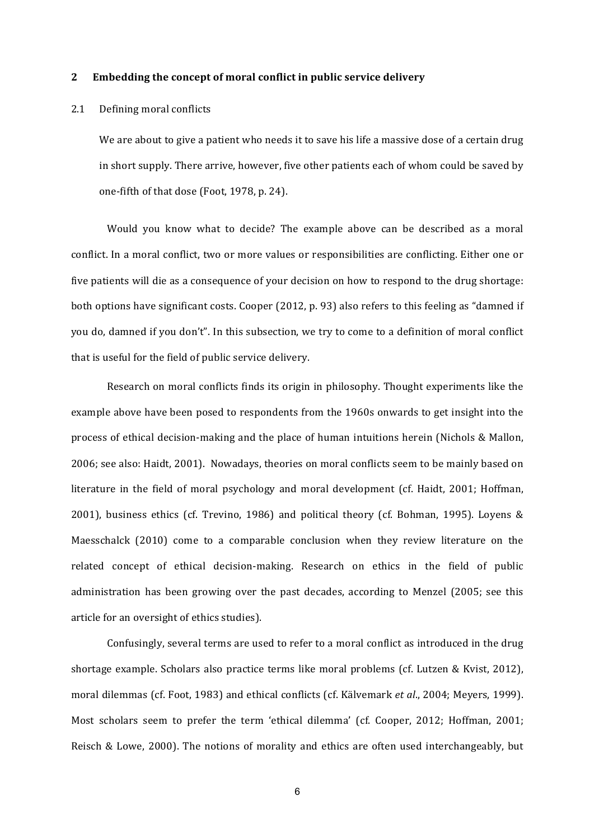#### **2 Embedding the concept of moral conflict in public service delivery**

## 2.1 Defining moral conflicts

We are about to give a patient who needs it to save his life a massive dose of a certain drug in short supply. There arrive, however, five other patients each of whom could be saved by one-fifth of that dose (Foot, 1978, p. 24).

Would you know what to decide? The example above can be described as a moral conflict. In a moral conflict, two or more values or responsibilities are conflicting. Either one or five patients will die as a consequence of your decision on how to respond to the drug shortage: both options have significant costs. Cooper (2012, p. 93) also refers to this feeling as "damned if you do, damned if you don't". In this subsection, we try to come to a definition of moral conflict that is useful for the field of public service delivery.

Research on moral conflicts finds its origin in philosophy. Thought experiments like the example above have been posed to respondents from the 1960s onwards to get insight into the process of ethical decision-making and the place of human intuitions herein (Nichols & Mallon, 2006; see also: Haidt, 2001). Nowadays, theories on moral conflicts seem to be mainly based on literature in the field of moral psychology and moral development (cf. Haidt, 2001; Hoffman, 2001), business ethics (cf. Trevino, 1986) and political theory (cf. Bohman, 1995). Loyens & Maesschalck  $(2010)$  come to a comparable conclusion when they review literature on the related concept of ethical decision-making. Research on ethics in the field of public administration has been growing over the past decades, according to Menzel (2005; see this article for an oversight of ethics studies).

Confusingly, several terms are used to refer to a moral conflict as introduced in the drug shortage example. Scholars also practice terms like moral problems (cf. Lutzen & Kvist, 2012), moral dilemmas (cf. Foot, 1983) and ethical conflicts (cf. Kälvemark *et al.*, 2004; Meyers, 1999). Most scholars seem to prefer the term 'ethical dilemma' (cf. Cooper, 2012; Hoffman, 2001; Reisch & Lowe, 2000). The notions of morality and ethics are often used interchangeably, but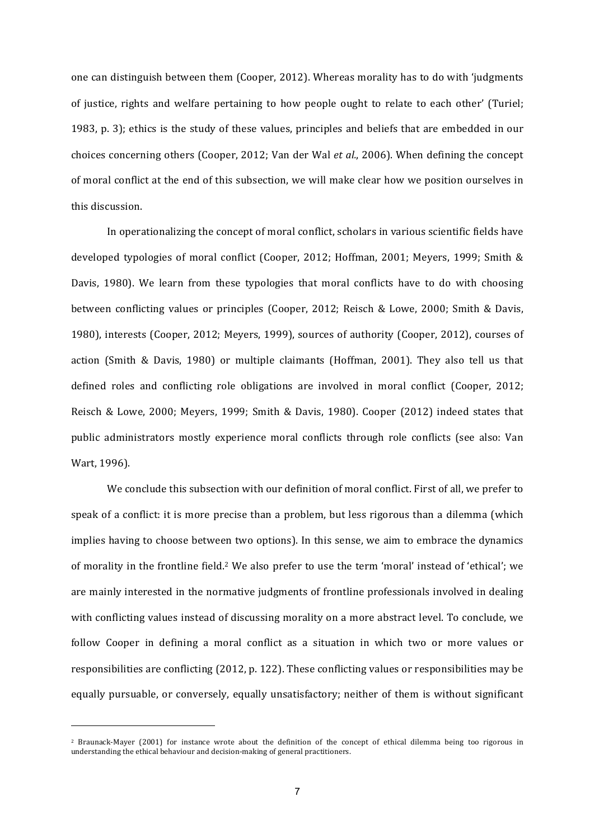one can distinguish between them (Cooper, 2012). Whereas morality has to do with 'judgments of justice, rights and welfare pertaining to how people ought to relate to each other' (Turiel; 1983, p. 3); ethics is the study of these values, principles and beliefs that are embedded in our choices concerning others (Cooper, 2012; Van der Wal et al., 2006). When defining the concept of moral conflict at the end of this subsection, we will make clear how we position ourselves in this discussion.

In operationalizing the concept of moral conflict, scholars in various scientific fields have developed typologies of moral conflict (Cooper, 2012; Hoffman, 2001; Meyers, 1999; Smith & Davis, 1980). We learn from these typologies that moral conflicts have to do with choosing between conflicting values or principles (Cooper, 2012; Reisch & Lowe, 2000; Smith & Davis, 1980), interests (Cooper, 2012; Meyers, 1999), sources of authority (Cooper, 2012), courses of action (Smith & Davis, 1980) or multiple claimants (Hoffman, 2001). They also tell us that defined roles and conflicting role obligations are involved in moral conflict (Cooper, 2012; Reisch & Lowe, 2000; Meyers, 1999; Smith & Davis, 1980). Cooper  $(2012)$  indeed states that public administrators mostly experience moral conflicts through role conflicts (see also: Van Wart, 1996).

We conclude this subsection with our definition of moral conflict. First of all, we prefer to speak of a conflict: it is more precise than a problem, but less rigorous than a dilemma (which implies having to choose between two options). In this sense, we aim to embrace the dynamics of morality in the frontline field.<sup>2</sup> We also prefer to use the term 'moral' instead of 'ethical'; we are mainly interested in the normative judgments of frontline professionals involved in dealing with conflicting values instead of discussing morality on a more abstract level. To conclude, we follow Cooper in defining a moral conflict as a situation in which two or more values or responsibilities are conflicting  $(2012, p. 122)$ . These conflicting values or responsibilities may be equally pursuable, or conversely, equally unsatisfactory; neither of them is without significant

<sup>&</sup>lt;sup>2</sup> Braunack-Mayer (2001) for instance wrote about the definition of the concept of ethical dilemma being too rigorous in understanding the ethical behaviour and decision-making of general practitioners.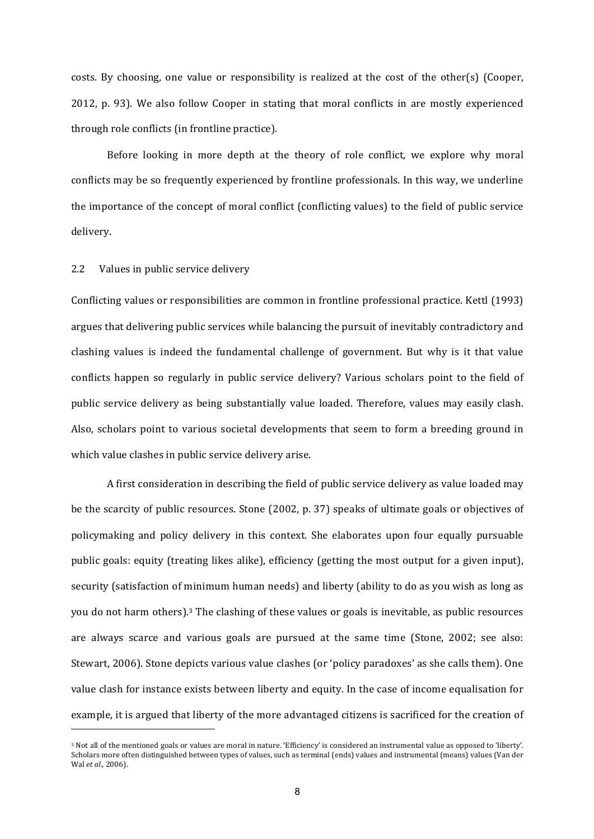costs. By choosing, one value or responsibility is realized at the cost of the other(s) (Cooper, 2012, p. 93). We also follow Cooper in stating that moral conflicts in are mostly experienced through role conflicts (in frontline practice).

Before looking in more depth at the theory of role conflict, we explore why moral conflicts may be so frequently experienced by frontline professionals. In this way, we underline the importance of the concept of moral conflict (conflicting values) to the field of public service delivery. 

# 2.2 Values in public service delivery

<u> 1989 - Johann Stein, marwolaethau a bh</u>

Conflicting values or responsibilities are common in frontline professional practice. Kettl (1993) argues that delivering public services while balancing the pursuit of inevitably contradictory and clashing values is indeed the fundamental challenge of government. But why is it that value conflicts happen so regularly in public service delivery? Various scholars point to the field of public service delivery as being substantially value loaded. Therefore, values may easily clash. Also, scholars point to various societal developments that seem to form a breeding ground in which value clashes in public service delivery arise.

A first consideration in describing the field of public service delivery as value loaded may be the scarcity of public resources. Stone  $(2002, p. 37)$  speaks of ultimate goals or objectives of policymaking and policy delivery in this context. She elaborates upon four equally pursuable public goals: equity (treating likes alike), efficiency (getting the most output for a given input), security (satisfaction of minimum human needs) and liberty (ability to do as you wish as long as you do not harm others).<sup>3</sup> The clashing of these values or goals is inevitable, as public resources are always scarce and various goals are pursued at the same time (Stone, 2002; see also: Stewart, 2006). Stone depicts various value clashes (or 'policy paradoxes' as she calls them). One value clash for instance exists between liberty and equity. In the case of income equalisation for example, it is argued that liberty of the more advantaged citizens is sacrificed for the creation of

<sup>&</sup>lt;sup>3</sup> Not all of the mentioned goals or values are moral in nature. 'Efficiency' is considered an instrumental value as opposed to 'liberty'. Scholars more often distinguished between types of values, such as terminal (ends) values and instrumental (means) values (Van der Wal et al., 2006).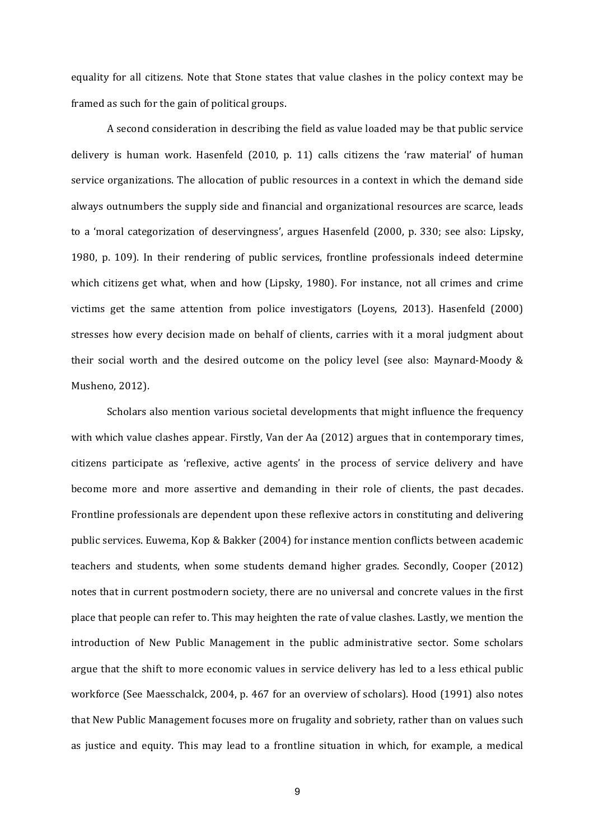equality for all citizens. Note that Stone states that value clashes in the policy context may be framed as such for the gain of political groups.

A second consideration in describing the field as value loaded may be that public service delivery is human work. Hasenfeld  $(2010, p. 11)$  calls citizens the 'raw material' of human service organizations. The allocation of public resources in a context in which the demand side always outnumbers the supply side and financial and organizational resources are scarce, leads to a 'moral categorization of deservingness', argues Hasenfeld (2000, p. 330; see also: Lipsky, 1980, p. 109). In their rendering of public services, frontline professionals indeed determine which citizens get what, when and how (Lipsky, 1980). For instance, not all crimes and crime victims get the same attention from police investigators (Loyens, 2013). Hasenfeld (2000) stresses how every decision made on behalf of clients, carries with it a moral judgment about their social worth and the desired outcome on the policy level (see also: Maynard-Moody  $\&$ Musheno, 2012).

Scholars also mention various societal developments that might influence the frequency with which value clashes appear. Firstly, Van der Aa  $(2012)$  argues that in contemporary times, citizens participate as 'reflexive, active agents' in the process of service delivery and have become more and more assertive and demanding in their role of clients, the past decades. Frontline professionals are dependent upon these reflexive actors in constituting and delivering public services. Euwema, Kop & Bakker (2004) for instance mention conflicts between academic teachers and students, when some students demand higher grades. Secondly, Cooper (2012) notes that in current postmodern society, there are no universal and concrete values in the first place that people can refer to. This may heighten the rate of value clashes. Lastly, we mention the introduction of New Public Management in the public administrative sector. Some scholars argue that the shift to more economic values in service delivery has led to a less ethical public workforce (See Maesschalck, 2004, p. 467 for an overview of scholars). Hood (1991) also notes that New Public Management focuses more on frugality and sobriety, rather than on values such as justice and equity. This may lead to a frontline situation in which, for example, a medical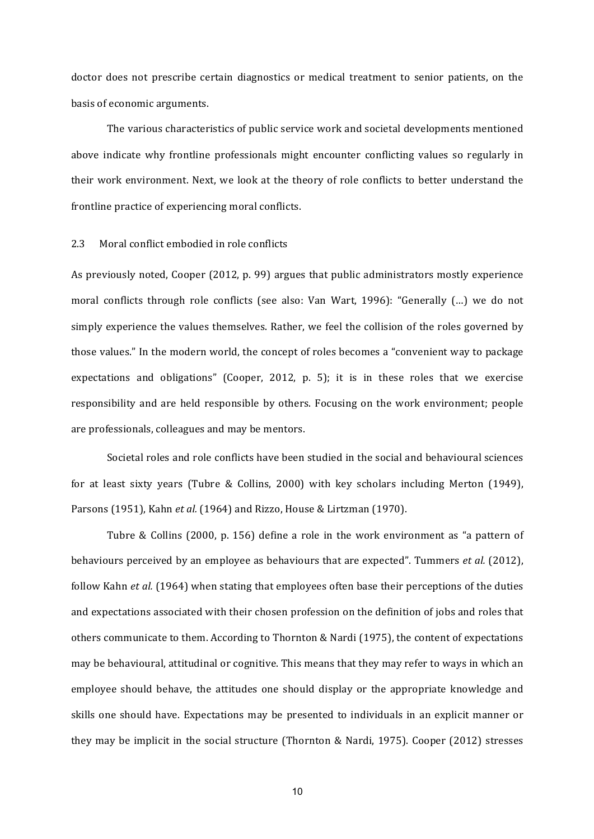doctor does not prescribe certain diagnostics or medical treatment to senior patients, on the basis of economic arguments.

The various characteristics of public service work and societal developments mentioned above indicate why frontline professionals might encounter conflicting values so regularly in their work environment. Next, we look at the theory of role conflicts to better understand the frontline practice of experiencing moral conflicts.

#### 2.3 Moral conflict embodied in role conflicts

As previously noted, Cooper (2012, p. 99) argues that public administrators mostly experience moral conflicts through role conflicts (see also: Van Wart, 1996): "Generally (...) we do not simply experience the values themselves. Rather, we feel the collision of the roles governed by those values." In the modern world, the concept of roles becomes a "convenient way to package" expectations and obligations" (Cooper, 2012, p. 5); it is in these roles that we exercise responsibility and are held responsible by others. Focusing on the work environment; people are professionals, colleagues and may be mentors.

Societal roles and role conflicts have been studied in the social and behavioural sciences for at least sixty years (Tubre & Collins, 2000) with key scholars including Merton (1949), Parsons (1951), Kahn et al. (1964) and Rizzo, House & Lirtzman (1970).

Tubre & Collins  $(2000, p. 156)$  define a role in the work environment as "a pattern of behaviours perceived by an employee as behaviours that are expected". Tummers *et al.* (2012), follow Kahn *et al.* (1964) when stating that employees often base their perceptions of the duties and expectations associated with their chosen profession on the definition of jobs and roles that others communicate to them. According to Thornton & Nardi (1975), the content of expectations may be behavioural, attitudinal or cognitive. This means that they may refer to ways in which an employee should behave, the attitudes one should display or the appropriate knowledge and skills one should have. Expectations may be presented to individuals in an explicit manner or they may be implicit in the social structure (Thornton & Nardi, 1975). Cooper (2012) stresses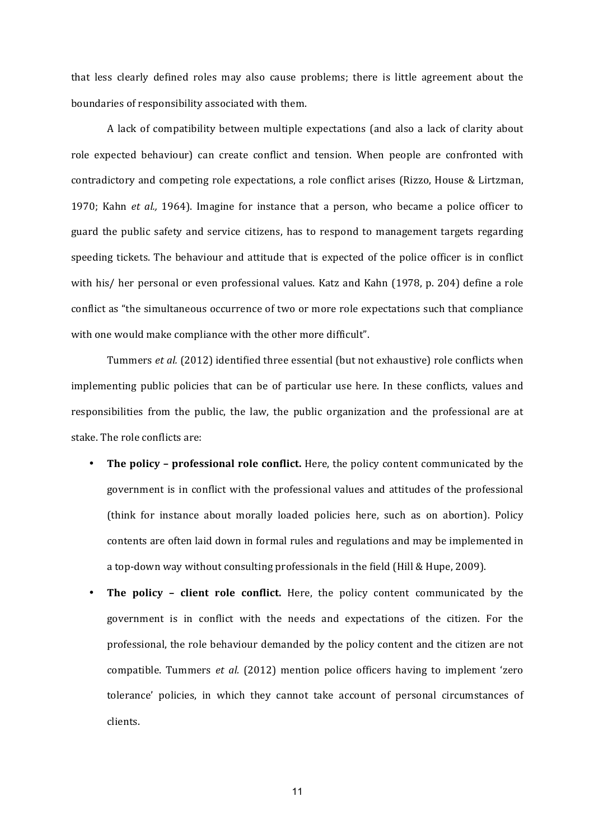that less clearly defined roles may also cause problems; there is little agreement about the boundaries of responsibility associated with them.

A lack of compatibility between multiple expectations (and also a lack of clarity about role expected behaviour) can create conflict and tension. When people are confronted with contradictory and competing role expectations, a role conflict arises (Rizzo, House & Lirtzman, 1970; Kahn *et al.*, 1964). Imagine for instance that a person, who became a police officer to guard the public safety and service citizens, has to respond to management targets regarding speeding tickets. The behaviour and attitude that is expected of the police officer is in conflict with his/ her personal or even professional values. Katz and Kahn (1978, p. 204) define a role conflict as "the simultaneous occurrence of two or more role expectations such that compliance with one would make compliance with the other more difficult".

Tummers *et al.* (2012) identified three essential (but not exhaustive) role conflicts when implementing public policies that can be of particular use here. In these conflicts, values and responsibilities from the public, the law, the public organization and the professional are at stake. The role conflicts are:

- **The policy professional role conflict.** Here, the policy content communicated by the government is in conflict with the professional values and attitudes of the professional (think for instance about morally loaded policies here, such as on abortion). Policy contents are often laid down in formal rules and regulations and may be implemented in a top-down way without consulting professionals in the field (Hill & Hupe, 2009).
- **The policy client role conflict.** Here, the policy content communicated by the government is in conflict with the needs and expectations of the citizen. For the professional, the role behaviour demanded by the policy content and the citizen are not compatible. Tummers *et al.* (2012) mention police officers having to implement 'zero tolerance' policies, in which they cannot take account of personal circumstances of clients.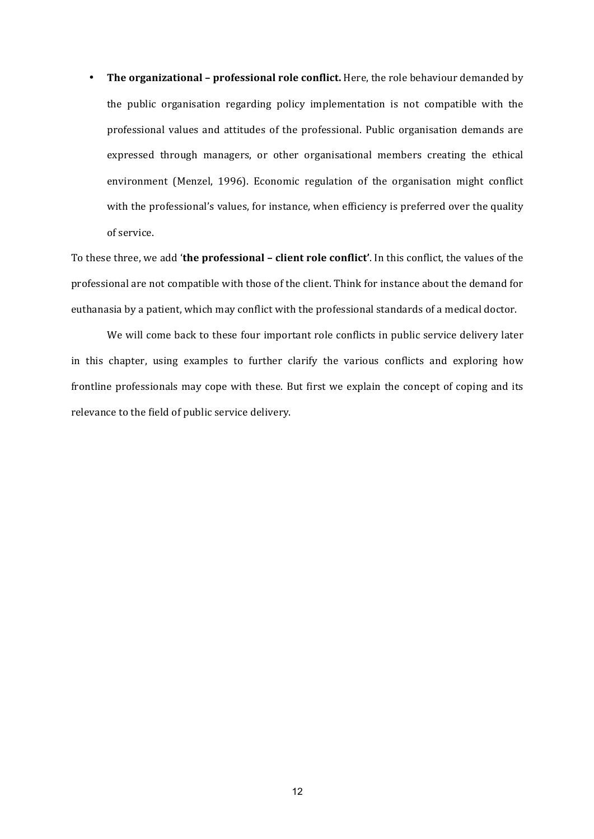• The organizational - professional role conflict. Here, the role behaviour demanded by the public organisation regarding policy implementation is not compatible with the professional values and attitudes of the professional. Public organisation demands are expressed through managers, or other organisational members creating the ethical environment (Menzel, 1996). Economic regulation of the organisation might conflict with the professional's values, for instance, when efficiency is preferred over the quality of service.

To these three, we add 'the professional - client role conflict'. In this conflict, the values of the professional are not compatible with those of the client. Think for instance about the demand for euthanasia by a patient, which may conflict with the professional standards of a medical doctor.

We will come back to these four important role conflicts in public service delivery later in this chapter, using examples to further clarify the various conflicts and exploring how frontline professionals may cope with these. But first we explain the concept of coping and its relevance to the field of public service delivery.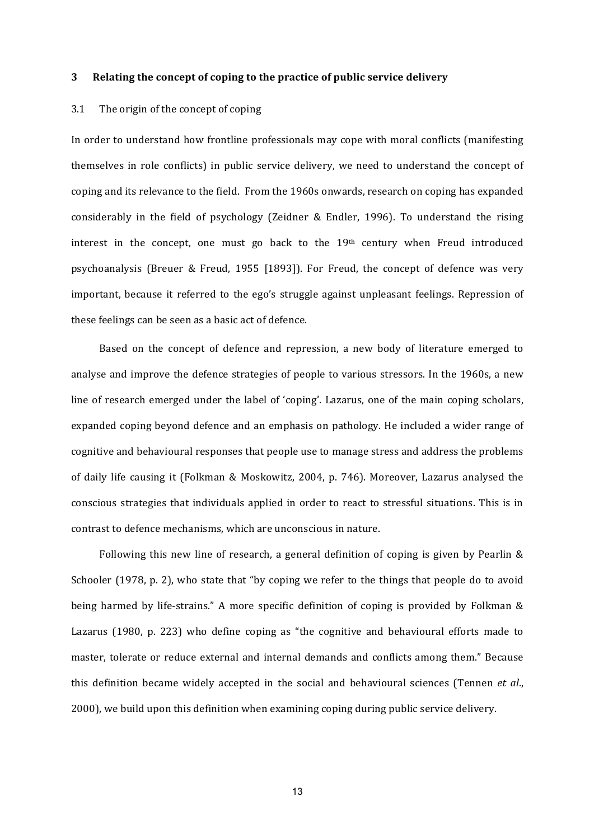#### **3 Relating the concept of coping to the practice of public service delivery**

#### 3.1 The origin of the concept of coping

In order to understand how frontline professionals may cope with moral conflicts (manifesting themselves in role conflicts) in public service delivery, we need to understand the concept of coping and its relevance to the field. From the 1960s onwards, research on coping has expanded considerably in the field of psychology (Zeidner & Endler, 1996). To understand the rising interest in the concept, one must go back to the  $19<sup>th</sup>$  century when Freud introduced psychoanalysis (Breuer & Freud, 1955 [1893]). For Freud, the concept of defence was very important, because it referred to the ego's struggle against unpleasant feelings. Repression of these feelings can be seen as a basic act of defence.

Based on the concept of defence and repression, a new body of literature emerged to analyse and improve the defence strategies of people to various stressors. In the 1960s, a new line of research emerged under the label of 'coping'. Lazarus, one of the main coping scholars, expanded coping beyond defence and an emphasis on pathology. He included a wider range of cognitive and behavioural responses that people use to manage stress and address the problems of daily life causing it (Folkman & Moskowitz, 2004, p. 746). Moreover, Lazarus analysed the conscious strategies that individuals applied in order to react to stressful situations. This is in contrast to defence mechanisms, which are unconscious in nature.

Following this new line of research, a general definition of coping is given by Pearlin  $\&$ Schooler  $(1978, p. 2)$ , who state that "by coping we refer to the things that people do to avoid being harmed by life-strains." A more specific definition of coping is provided by Folkman  $\&$ Lazarus  $(1980, p. 223)$  who define coping as "the cognitive and behavioural efforts made to master, tolerate or reduce external and internal demands and conflicts among them." Because this definition became widely accepted in the social and behavioural sciences (Tennen *et al.*, 2000), we build upon this definition when examining coping during public service delivery.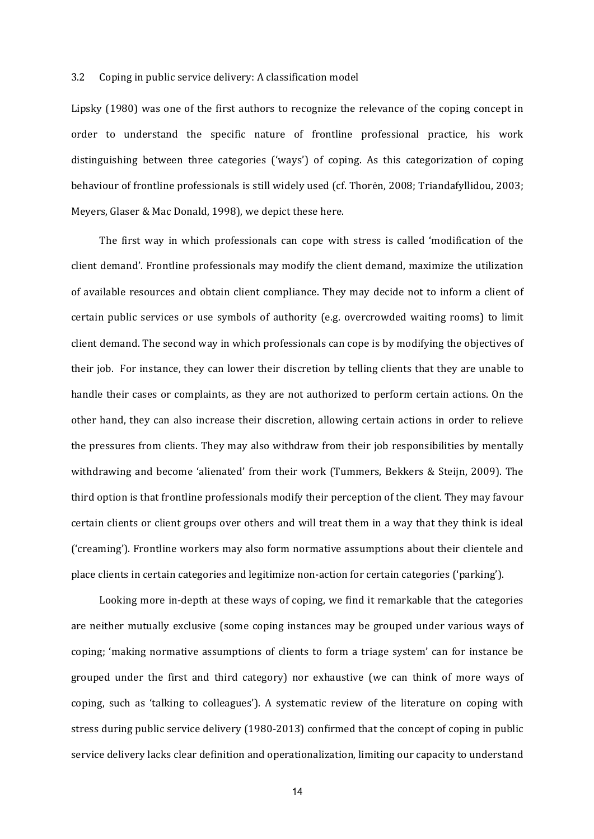#### 3.2 Coping in public service delivery: A classification model

Lipsky (1980) was one of the first authors to recognize the relevance of the coping concept in order to understand the specific nature of frontline professional practice, his work distinguishing between three categories ('ways') of coping. As this categorization of coping behaviour of frontline professionals is still widely used (cf. Thorėn, 2008; Triandafyllidou, 2003; Meyers, Glaser & Mac Donald, 1998), we depict these here.

The first way in which professionals can cope with stress is called 'modification of the client demand'. Frontline professionals may modify the client demand, maximize the utilization of available resources and obtain client compliance. They may decide not to inform a client of certain public services or use symbols of authority (e.g. overcrowded waiting rooms) to limit client demand. The second way in which professionals can cope is by modifying the objectives of their job. For instance, they can lower their discretion by telling clients that they are unable to handle their cases or complaints, as they are not authorized to perform certain actions. On the other hand, they can also increase their discretion, allowing certain actions in order to relieve the pressures from clients. They may also withdraw from their job responsibilities by mentally withdrawing and become 'alienated' from their work (Tummers, Bekkers & Steijn, 2009). The third option is that frontline professionals modify their perception of the client. They may favour certain clients or client groups over others and will treat them in a way that they think is ideal ('creaming'). Frontline workers may also form normative assumptions about their clientele and place clients in certain categories and legitimize non-action for certain categories ('parking').

Looking more in-depth at these ways of coping, we find it remarkable that the categories are neither mutually exclusive (some coping instances may be grouped under various ways of coping; 'making normative assumptions of clients to form a triage system' can for instance be grouped under the first and third category) nor exhaustive (we can think of more ways of coping, such as 'talking to colleagues'). A systematic review of the literature on coping with stress during public service delivery  $(1980-2013)$  confirmed that the concept of coping in public service delivery lacks clear definition and operationalization, limiting our capacity to understand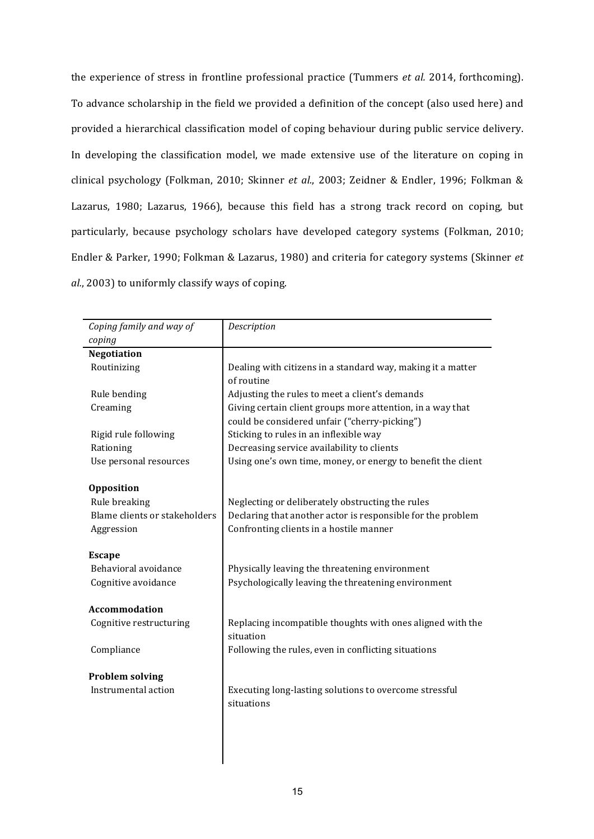the experience of stress in frontline professional practice (Tummers *et al.* 2014, forthcoming). To advance scholarship in the field we provided a definition of the concept (also used here) and provided a hierarchical classification model of coping behaviour during public service delivery. In developing the classification model, we made extensive use of the literature on coping in clinical psychology (Folkman, 2010; Skinner et al., 2003; Zeidner & Endler, 1996; Folkman & Lazarus, 1980; Lazarus, 1966), because this field has a strong track record on coping, but particularly, because psychology scholars have developed category systems (Folkman, 2010; Endler & Parker, 1990; Folkman & Lazarus, 1980) and criteria for category systems (Skinner *et*) *al.*, 2003) to uniformly classify ways of coping.

| Coping family and way of      | Description                                                  |
|-------------------------------|--------------------------------------------------------------|
| coping                        |                                                              |
| <b>Negotiation</b>            |                                                              |
| Routinizing                   | Dealing with citizens in a standard way, making it a matter  |
|                               | of routine                                                   |
| Rule bending                  | Adjusting the rules to meet a client's demands               |
| Creaming                      | Giving certain client groups more attention, in a way that   |
|                               | could be considered unfair ("cherry-picking")                |
| Rigid rule following          | Sticking to rules in an inflexible way                       |
| Rationing                     | Decreasing service availability to clients                   |
| Use personal resources        | Using one's own time, money, or energy to benefit the client |
|                               |                                                              |
| <b>Opposition</b>             |                                                              |
| Rule breaking                 | Neglecting or deliberately obstructing the rules             |
| Blame clients or stakeholders | Declaring that another actor is responsible for the problem  |
| Aggression                    | Confronting clients in a hostile manner                      |
|                               |                                                              |
| <b>Escape</b>                 |                                                              |
| Behavioral avoidance          | Physically leaving the threatening environment               |
| Cognitive avoidance           | Psychologically leaving the threatening environment          |
|                               |                                                              |
| <b>Accommodation</b>          |                                                              |
| Cognitive restructuring       | Replacing incompatible thoughts with ones aligned with the   |
|                               | situation                                                    |
| Compliance                    | Following the rules, even in conflicting situations          |
|                               |                                                              |
| <b>Problem solving</b>        |                                                              |
| Instrumental action           | Executing long-lasting solutions to overcome stressful       |
|                               | situations                                                   |
|                               |                                                              |
|                               |                                                              |
|                               |                                                              |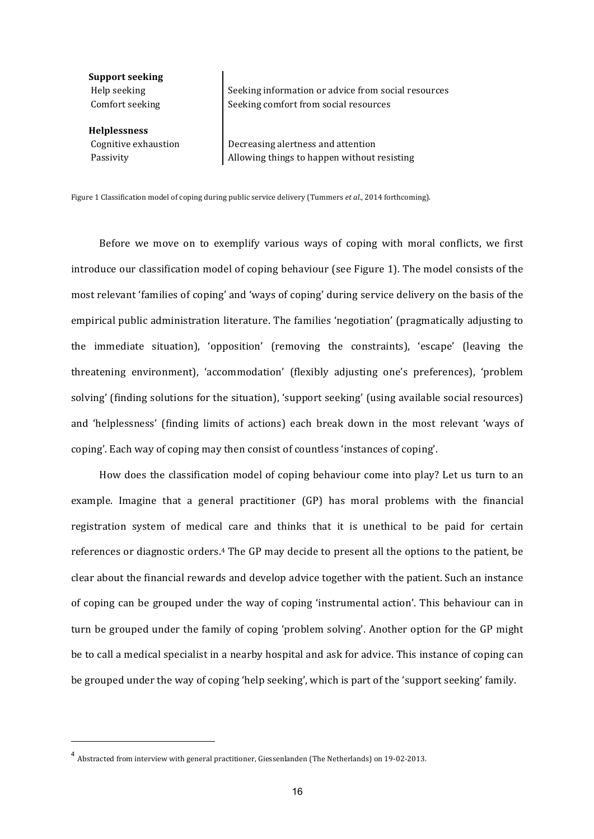**Support seeking**

**Helplessness**

Help seeking Seeking information or advice from social resources Comfort seeking Seeking comfort from social resources

Cognitive exhaustion **Decreasing alertness and attention** Passivity and Allowing things to happen without resisting

Figure 1 Classification model of coping during public service delivery (Tummers et al., 2014 forthcoming).

Before we move on to exemplify various ways of coping with moral conflicts, we first introduce our classification model of coping behaviour (see Figure 1). The model consists of the most relevant 'families of coping' and 'ways of coping' during service delivery on the basis of the empirical public administration literature. The families 'negotiation' (pragmatically adjusting to the immediate situation), 'opposition' (removing the constraints), 'escape' (leaving the threatening environment), 'accommodation' (flexibly adjusting one's preferences), 'problem solving' (finding solutions for the situation), 'support seeking' (using available social resources) and 'helplessness' (finding limits of actions) each break down in the most relevant 'ways of coping'. Each way of coping may then consist of countless 'instances of coping'.

How does the classification model of coping behaviour come into play? Let us turn to an example. Imagine that a general practitioner  $(GP)$  has moral problems with the financial registration system of medical care and thinks that it is unethical to be paid for certain references or diagnostic orders.<sup>4</sup> The GP may decide to present all the options to the patient, be clear about the financial rewards and develop advice together with the patient. Such an instance of coping can be grouped under the way of coping 'instrumental action'. This behaviour can in turn be grouped under the family of coping 'problem solving'. Another option for the GP might be to call a medical specialist in a nearby hospital and ask for advice. This instance of coping can be grouped under the way of coping 'help seeking', which is part of the 'support seeking' family.

<u> 1989 - Johann Stein, marwolaethau a bh</u>

<sup>&</sup>lt;sup>4</sup> Abstracted from interview with general practitioner, Giessenlanden (The Netherlands) on 19-02-2013.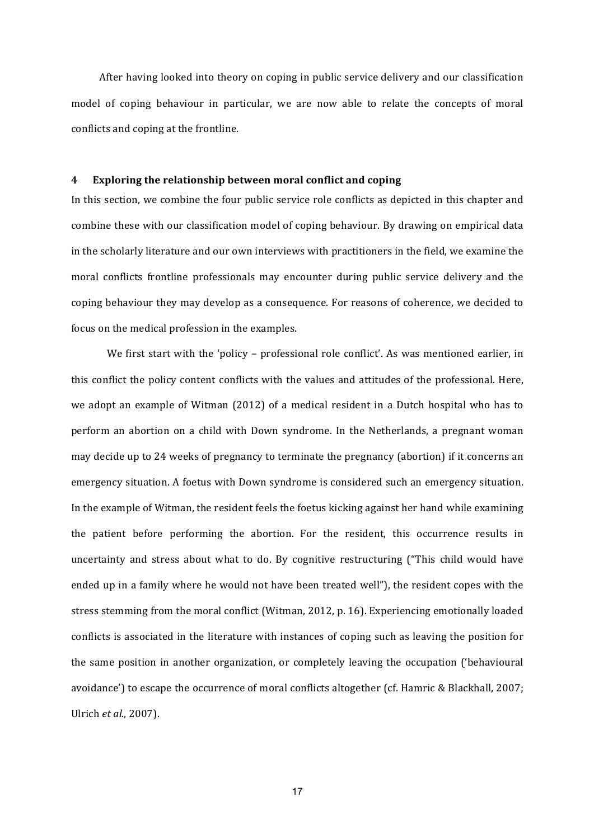After having looked into theory on coping in public service delivery and our classification model of coping behaviour in particular, we are now able to relate the concepts of moral conflicts and coping at the frontline.

## **4 Exploring the relationship between moral conflict and coping**

In this section, we combine the four public service role conflicts as depicted in this chapter and combine these with our classification model of coping behaviour. By drawing on empirical data in the scholarly literature and our own interviews with practitioners in the field, we examine the moral conflicts frontline professionals may encounter during public service delivery and the coping behaviour they may develop as a consequence. For reasons of coherence, we decided to focus on the medical profession in the examples.

We first start with the 'policy - professional role conflict'. As was mentioned earlier, in this conflict the policy content conflicts with the values and attitudes of the professional. Here, we adopt an example of Witman (2012) of a medical resident in a Dutch hospital who has to perform an abortion on a child with Down syndrome. In the Netherlands, a pregnant woman may decide up to 24 weeks of pregnancy to terminate the pregnancy (abortion) if it concerns an emergency situation. A foetus with Down syndrome is considered such an emergency situation. In the example of Witman, the resident feels the foetus kicking against her hand while examining the patient before performing the abortion. For the resident, this occurrence results in uncertainty and stress about what to do. By cognitive restructuring ("This child would have ended up in a family where he would not have been treated well"), the resident copes with the stress stemming from the moral conflict (Witman, 2012, p. 16). Experiencing emotionally loaded conflicts is associated in the literature with instances of coping such as leaving the position for the same position in another organization, or completely leaving the occupation ('behavioural avoidance') to escape the occurrence of moral conflicts altogether (cf. Hamric & Blackhall, 2007; Ulrich et al., 2007).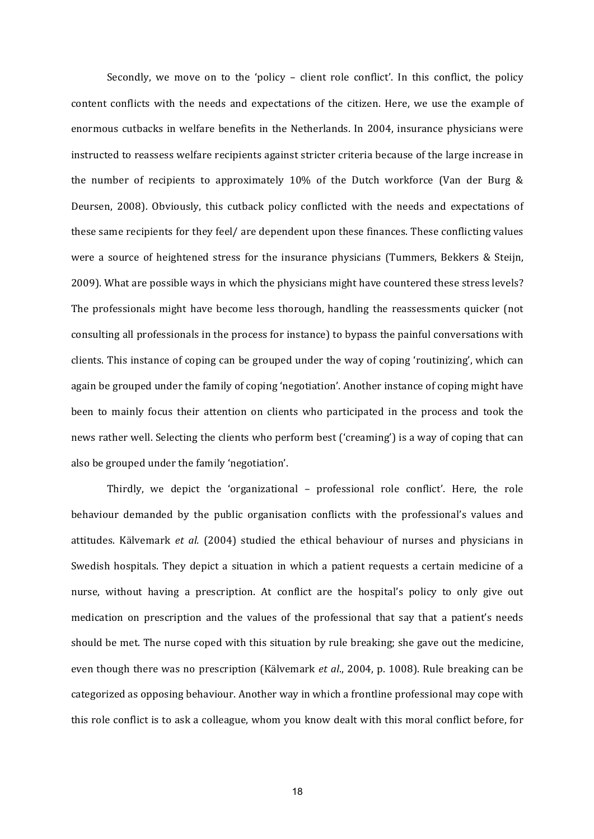Secondly, we move on to the 'policy - client role conflict'. In this conflict, the policy content conflicts with the needs and expectations of the citizen. Here, we use the example of enormous cutbacks in welfare benefits in the Netherlands. In 2004, insurance physicians were instructed to reassess welfare recipients against stricter criteria because of the large increase in the number of recipients to approximately  $10\%$  of the Dutch workforce (Van der Burg & Deursen, 2008). Obviously, this cutback policy conflicted with the needs and expectations of these same recipients for they feel/ are dependent upon these finances. These conflicting values were a source of heightened stress for the insurance physicians (Tummers, Bekkers & Steijn, 2009). What are possible ways in which the physicians might have countered these stress levels? The professionals might have become less thorough, handling the reassessments quicker (not consulting all professionals in the process for instance) to bypass the painful conversations with clients. This instance of coping can be grouped under the way of coping 'routinizing', which can again be grouped under the family of coping 'negotiation'. Another instance of coping might have been to mainly focus their attention on clients who participated in the process and took the news rather well. Selecting the clients who perform best ('creaming') is a way of coping that can also be grouped under the family 'negotiation'.

Thirdly, we depict the 'organizational  $-$  professional role conflict'. Here, the role behaviour demanded by the public organisation conflicts with the professional's values and attitudes. Kälvemark *et al.* (2004) studied the ethical behaviour of nurses and physicians in Swedish hospitals. They depict a situation in which a patient requests a certain medicine of a nurse, without having a prescription. At conflict are the hospital's policy to only give out medication on prescription and the values of the professional that say that a patient's needs should be met. The nurse coped with this situation by rule breaking; she gave out the medicine, even though there was no prescription (Kälvemark *et al.*, 2004, p. 1008). Rule breaking can be categorized as opposing behaviour. Another way in which a frontline professional may cope with this role conflict is to ask a colleague, whom you know dealt with this moral conflict before, for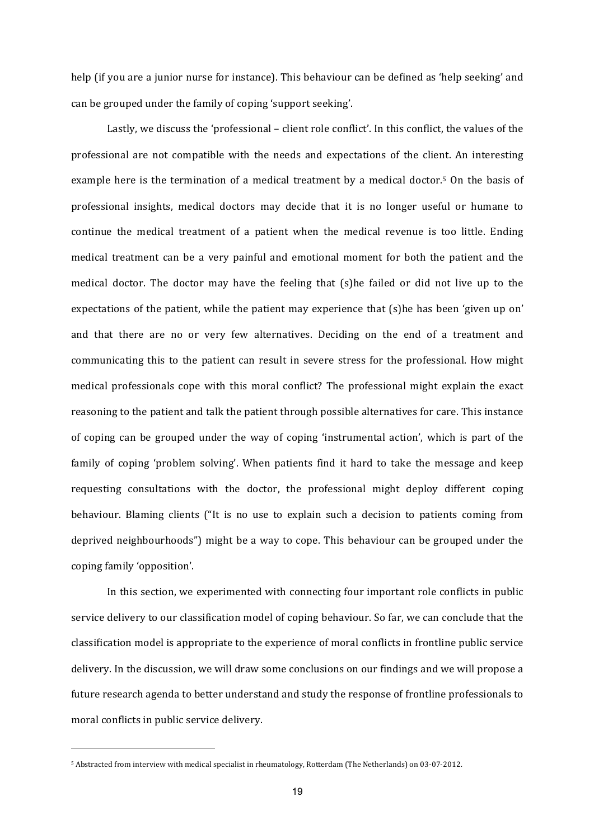help (if you are a junior nurse for instance). This behaviour can be defined as 'help seeking' and can be grouped under the family of coping 'support seeking'.

Lastly, we discuss the 'professional – client role conflict'. In this conflict, the values of the professional are not compatible with the needs and expectations of the client. An interesting example here is the termination of a medical treatment by a medical doctor.<sup>5</sup> On the basis of professional insights, medical doctors may decide that it is no longer useful or humane to continue the medical treatment of a patient when the medical revenue is too little. Ending medical treatment can be a very painful and emotional moment for both the patient and the medical doctor. The doctor may have the feeling that (s)he failed or did not live up to the expectations of the patient, while the patient may experience that  $(s)$ he has been 'given up on' and that there are no or very few alternatives. Deciding on the end of a treatment and communicating this to the patient can result in severe stress for the professional. How might medical professionals cope with this moral conflict? The professional might explain the exact reasoning to the patient and talk the patient through possible alternatives for care. This instance of coping can be grouped under the way of coping 'instrumental action', which is part of the family of coping 'problem solving'. When patients find it hard to take the message and keep requesting consultations with the doctor, the professional might deploy different coping behaviour. Blaming clients ("It is no use to explain such a decision to patients coming from deprived neighbourhoods") might be a way to cope. This behaviour can be grouped under the coping family 'opposition'.

In this section, we experimented with connecting four important role conflicts in public service delivery to our classification model of coping behaviour. So far, we can conclude that the classification model is appropriate to the experience of moral conflicts in frontline public service delivery. In the discussion, we will draw some conclusions on our findings and we will propose a future research agenda to better understand and study the response of frontline professionals to moral conflicts in public service delivery.

<u> 1989 - Johann Stein, marwolaethau a bh</u>

<sup>&</sup>lt;sup>5</sup> Abstracted from interview with medical specialist in rheumatology, Rotterdam (The Netherlands) on 03-07-2012.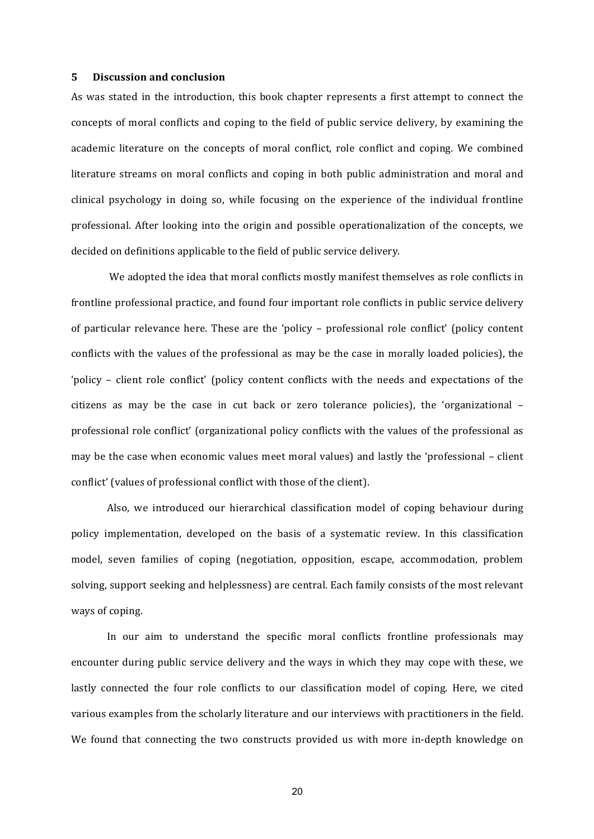#### **5 Discussion and conclusion**

As was stated in the introduction, this book chapter represents a first attempt to connect the concepts of moral conflicts and coping to the field of public service delivery, by examining the academic literature on the concepts of moral conflict, role conflict and coping. We combined literature streams on moral conflicts and coping in both public administration and moral and clinical psychology in doing so, while focusing on the experience of the individual frontline professional. After looking into the origin and possible operationalization of the concepts, we decided on definitions applicable to the field of public service delivery.

We adopted the idea that moral conflicts mostly manifest themselves as role conflicts in frontline professional practice, and found four important role conflicts in public service delivery of particular relevance here. These are the 'policy – professional role conflict' (policy content conflicts with the values of the professional as may be the case in morally loaded policies), the 'policy – client role conflict' (policy content conflicts with the needs and expectations of the citizens as may be the case in cut back or zero tolerance policies), the 'organizational professional role conflict' (organizational policy conflicts with the values of the professional as may be the case when economic values meet moral values) and lastly the 'professional - client conflict' (values of professional conflict with those of the client).

Also, we introduced our hierarchical classification model of coping behaviour during policy implementation, developed on the basis of a systematic review. In this classification model, seven families of coping (negotiation, opposition, escape, accommodation, problem solving, support seeking and helplessness) are central. Each family consists of the most relevant ways of coping.

In our aim to understand the specific moral conflicts frontline professionals may encounter during public service delivery and the ways in which they may cope with these, we lastly connected the four role conflicts to our classification model of coping. Here, we cited various examples from the scholarly literature and our interviews with practitioners in the field. We found that connecting the two constructs provided us with more in-depth knowledge on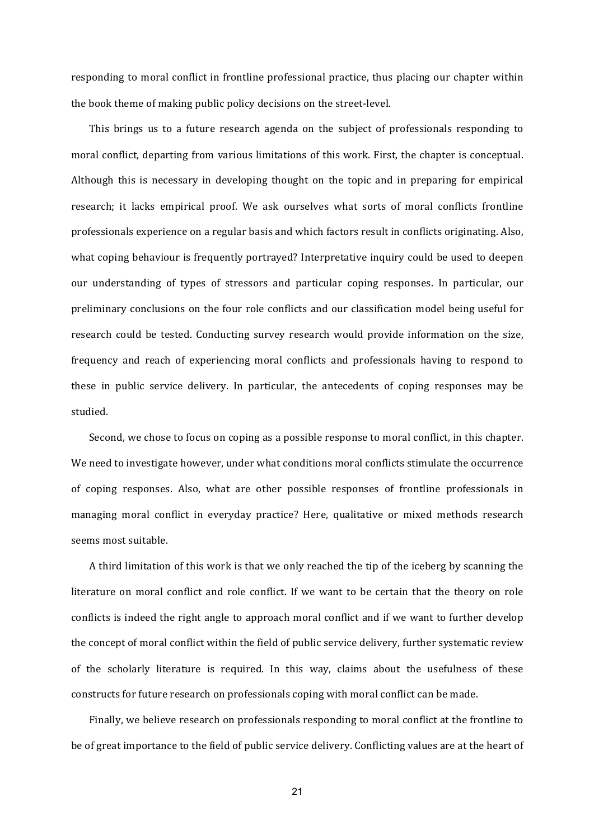responding to moral conflict in frontline professional practice, thus placing our chapter within the book theme of making public policy decisions on the street-level.

This brings us to a future research agenda on the subject of professionals responding to moral conflict, departing from various limitations of this work. First, the chapter is conceptual. Although this is necessary in developing thought on the topic and in preparing for empirical research; it lacks empirical proof. We ask ourselves what sorts of moral conflicts frontline professionals experience on a regular basis and which factors result in conflicts originating. Also, what coping behaviour is frequently portrayed? Interpretative inquiry could be used to deepen our understanding of types of stressors and particular coping responses. In particular, our preliminary conclusions on the four role conflicts and our classification model being useful for research could be tested. Conducting survey research would provide information on the size, frequency and reach of experiencing moral conflicts and professionals having to respond to these in public service delivery. In particular, the antecedents of coping responses may be studied. 

Second, we chose to focus on coping as a possible response to moral conflict, in this chapter. We need to investigate however, under what conditions moral conflicts stimulate the occurrence of coping responses. Also, what are other possible responses of frontline professionals in managing moral conflict in everyday practice? Here, qualitative or mixed methods research seems most suitable.

A third limitation of this work is that we only reached the tip of the iceberg by scanning the literature on moral conflict and role conflict. If we want to be certain that the theory on role conflicts is indeed the right angle to approach moral conflict and if we want to further develop the concept of moral conflict within the field of public service delivery, further systematic review of the scholarly literature is required. In this way, claims about the usefulness of these constructs for future research on professionals coping with moral conflict can be made.

Finally, we believe research on professionals responding to moral conflict at the frontline to be of great importance to the field of public service delivery. Conflicting values are at the heart of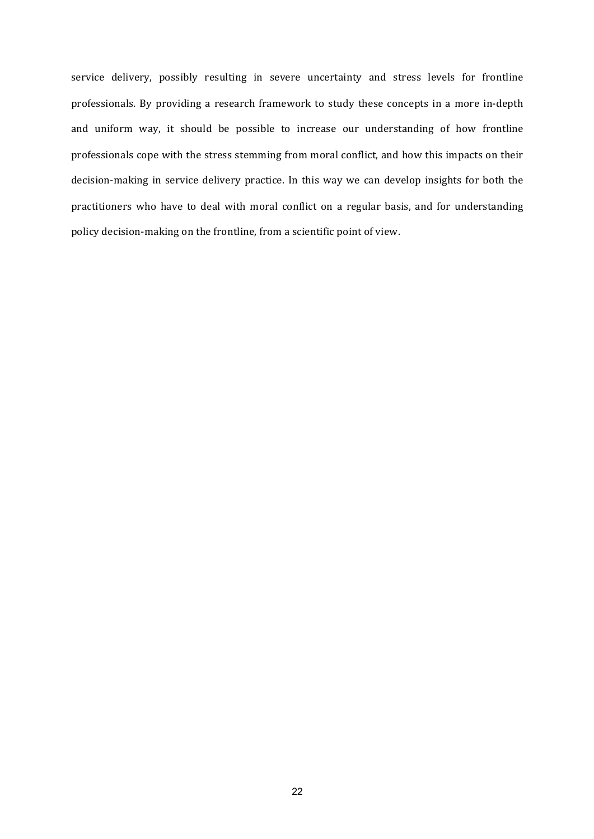service delivery, possibly resulting in severe uncertainty and stress levels for frontline professionals. By providing a research framework to study these concepts in a more in-depth and uniform way, it should be possible to increase our understanding of how frontline professionals cope with the stress stemming from moral conflict, and how this impacts on their decision-making in service delivery practice. In this way we can develop insights for both the practitioners who have to deal with moral conflict on a regular basis, and for understanding policy decision-making on the frontline, from a scientific point of view.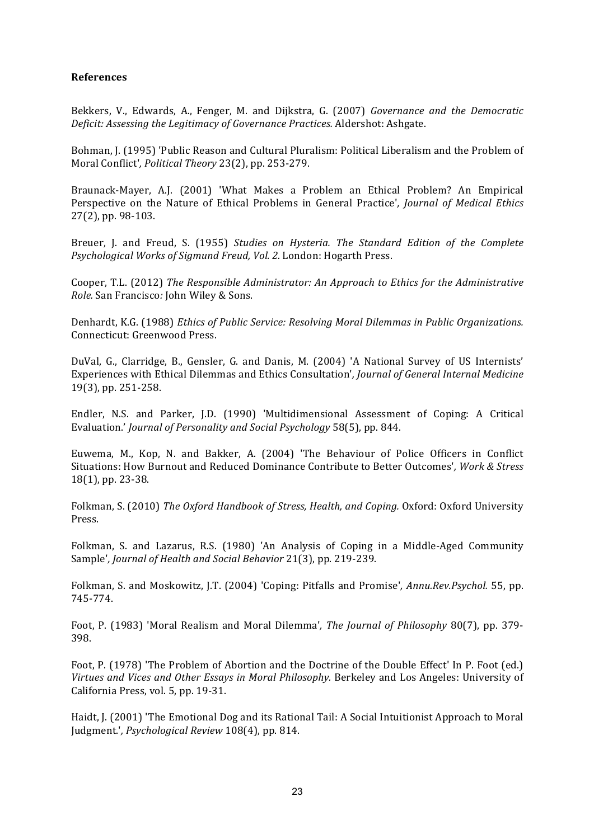# **References**

Bekkers, V., Edwards, A., Fenger, M. and Dijkstra, G. (2007) *Governance and the Democratic Deficit: Assessing the Legitimacy of Governance Practices.* Aldershot: Ashgate.

Bohman, J. (1995) 'Public Reason and Cultural Pluralism: Political Liberalism and the Problem of Moral Conflict', *Political Theory* 23(2), pp. 253-279.

Braunack-Mayer, A.J. (2001) 'What Makes a Problem an Ethical Problem? An Empirical Perspective on the Nature of Ethical Problems in General Practice', *Journal of Medical Ethics* 27(2), pp. 98-103.

Breuer, J. and Freud, S. (1955) *Studies on Hysteria. The Standard Edition of the Complete Psychological Works of Sigmund Freud, Vol. 2.* London: Hogarth Press.

Cooper, T.L. (2012) The Responsible Administrator: An Approach to Ethics for the Administrative *Role.* San Francisco*:* John Wiley & Sons. 

Denhardt, K.G. (1988) *Ethics of Public Service: Resolving Moral Dilemmas in Public Organizations.* Connecticut: Greenwood Press.

DuVal, G., Clarridge, B., Gensler, G. and Danis, M. (2004) 'A National Survey of US Internists' Experiences with Ethical Dilemmas and Ethics Consultation', *Journal of General Internal Medicine* 19(3), pp. 251-258.

Endler, N.S. and Parker, J.D. (1990) 'Multidimensional Assessment of Coping: A Critical Evaluation.' *Journal of Personality and Social Psychology* 58(5), pp. 844.

Euwema, M., Kop, N. and Bakker, A. (2004) 'The Behaviour of Police Officers in Conflict Situations: How Burnout and Reduced Dominance Contribute to Better Outcomes', Work & Stress 18(1), pp. 23-38.

Folkman, S. (2010) The Oxford Handbook of Stress, Health, and Coping. Oxford: Oxford University Press. 

Folkman, S. and Lazarus, R.S. (1980) 'An Analysis of Coping in a Middle-Aged Community Sample', *Journal of Health and Social Behavior* 21(3), pp. 219-239.

Folkman, S. and Moskowitz, J.T. (2004) 'Coping: Pitfalls and Promise', Annu.Rev.Psychol. 55, pp. 745-774. 

Foot, P. (1983) 'Moral Realism and Moral Dilemma', *The Journal of Philosophy* 80(7), pp. 379-398. 

Foot, P. (1978) 'The Problem of Abortion and the Doctrine of the Double Effect' In P. Foot (ed.) Virtues and Vices and Other Essays in Moral Philosophy. Berkeley and Los Angeles: University of California Press, vol. 5, pp. 19-31.

Haidt, J. (2001) 'The Emotional Dog and its Rational Tail: A Social Intuitionist Approach to Moral Judgment.', *Psychological Review* 108(4), pp. 814.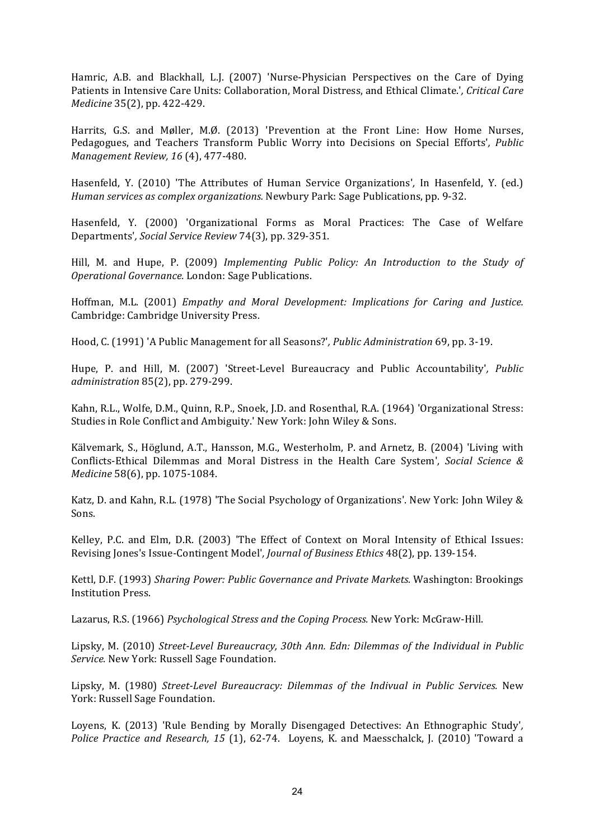Hamric, A.B. and Blackhall, L.J. (2007) 'Nurse-Physician Perspectives on the Care of Dying Patients in Intensive Care Units: Collaboration, Moral Distress, and Ethical Climate.', Critical Care *Medicine* 35(2), pp. 422-429.

Harrits, G.S. and Møller, M.Ø. (2013) 'Prevention at the Front Line: How Home Nurses, Pedagogues, and Teachers Transform Public Worry into Decisions on Special Efforts', *Public Management Review, 16* (4), 477-480.

Hasenfeld, Y. (2010) 'The Attributes of Human Service Organizations', In Hasenfeld, Y. (ed.) *Human services as complex organizations.* Newbury Park: Sage Publications, pp. 9-32.

Hasenfeld, Y. (2000) 'Organizational Forms as Moral Practices: The Case of Welfare Departments'*, Social Service Review* 74(3), pp. 329-351. 

Hill, M. and Hupe, P. (2009) *Implementing Public Policy: An Introduction to the Study of Operational Governance.* London: Sage Publications. 

Hoffman, M.L. (2001) *Empathy and Moral Development: Implications for Caring and Justice.* Cambridge: Cambridge University Press.

Hood, C. (1991) 'A Public Management for all Seasons?', *Public Administration* 69, pp. 3-19.

Hupe, P. and Hill, M. (2007) 'Street-Level Bureaucracy and Public Accountability', *Public administration* 85(2), pp. 279-299. 

Kahn, R.L., Wolfe, D.M., Quinn, R.P., Snoek, J.D. and Rosenthal, R.A. (1964) 'Organizational Stress: Studies in Role Conflict and Ambiguity.' New York: John Wiley & Sons.

Kälvemark, S., Höglund, A.T., Hansson, M.G., Westerholm, P. and Arnetz, B. (2004) 'Living with Conflicts-Ethical Dilemmas and Moral Distress in the Health Care System', Social Science & *Medicine* 58(6), pp. 1075-1084.

Katz, D. and Kahn, R.L. (1978) 'The Social Psychology of Organizations'. New York: John Wiley & Sons.

Kelley, P.C. and Elm, D.R. (2003) 'The Effect of Context on Moral Intensity of Ethical Issues: Revising Jones's Issue-Contingent Model', *Journal of Business Ethics* 48(2), pp. 139-154.

Kettl, D.F. (1993) Sharing Power: Public Governance and Private Markets. Washington: Brookings Institution Press. 

Lazarus, R.S. (1966) *Psychological Stress and the Coping Process.* New York: McGraw-Hill.

Lipsky, M. (2010) Street-Level Bureaucracy, 30th Ann. Edn: Dilemmas of the Individual in Public Service. New York: Russell Sage Foundation.

Lipsky, M. (1980) Street-Level Bureaucracy: Dilemmas of the Indivual in Public Services. New York: Russell Sage Foundation.

Loyens, K. (2013) 'Rule Bending by Morally Disengaged Detectives: An Ethnographic Study', *Police Practice and Research, 15* (1), 62-74. Loyens, K. and Maesschalck, J. (2010) 'Toward a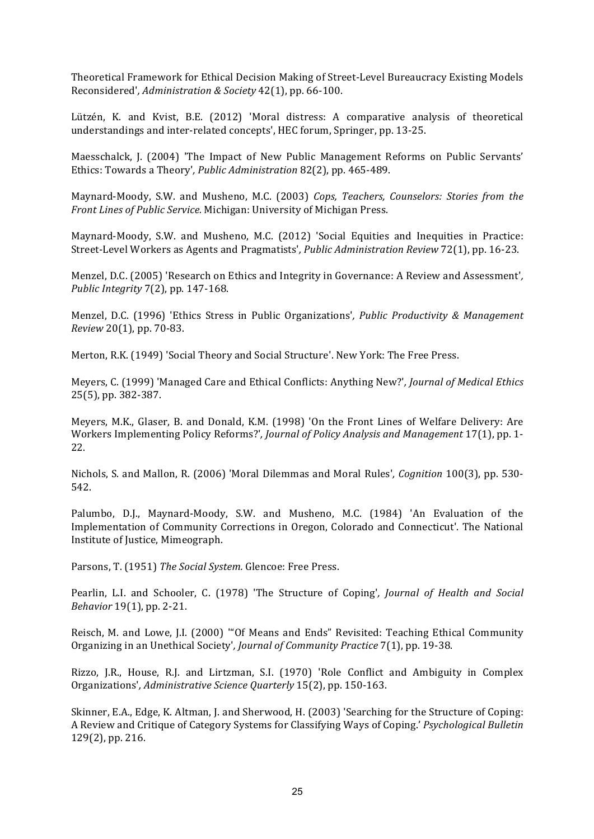Theoretical Framework for Ethical Decision Making of Street-Level Bureaucracy Existing Models Reconsidered', Administration & Society 42(1), pp. 66-100.

Lützén, K. and Kvist, B.E. (2012) 'Moral distress: A comparative analysis of theoretical understandings and inter-related concepts', HEC forum, Springer, pp. 13-25.

Maesschalck, J. (2004) 'The Impact of New Public Management Reforms on Public Servants' Ethics: Towards a Theory', *Public Administration* 82(2), pp. 465-489.

Maynard-Moody, S.W. and Musheno, M.C. (2003) *Cops, Teachers, Counselors: Stories from the Front Lines of Public Service.* Michigan: University of Michigan Press.

Maynard-Moody, S.W. and Musheno, M.C. (2012) 'Social Equities and Inequities in Practice: Street-Level Workers as Agents and Pragmatists'*, Public Administration Review* 72(1), pp. 16-23. 

Menzel, D.C. (2005) 'Research on Ethics and Integrity in Governance: A Review and Assessment', *Public Integrity* 7(2), pp. 147-168.

Menzel, D.C. (1996) 'Ethics Stress in Public Organizations', *Public Productivity & Management Review* 20(1), pp. 70-83.

Merton, R.K. (1949) 'Social Theory and Social Structure'. New York: The Free Press.

Meyers, C. (1999) 'Managed Care and Ethical Conflicts: Anything New?', *Journal of Medical Ethics* 25(5), pp. 382-387.

Meyers, M.K., Glaser, B. and Donald, K.M. (1998) 'On the Front Lines of Welfare Delivery: Are Workers Implementing Policy Reforms?', *Journal of Policy Analysis and Management* 17(1), pp. 1-22. 

Nichols, S. and Mallon, R. (2006) 'Moral Dilemmas and Moral Rules', *Cognition* 100(3), pp. 530-542. 

Palumbo, D.J., Maynard-Moody, S.W. and Musheno, M.C. (1984) 'An Evaluation of the Implementation of Community Corrections in Oregon, Colorado and Connecticut'. The National Institute of Justice, Mimeograph.

Parsons, T. (1951) *The Social System.* Glencoe: Free Press.

Pearlin, L.I. and Schooler, C. (1978) 'The Structure of Coping', *Journal of Health and Social Behavior* 19(1), pp. 2-21. 

Reisch, M. and Lowe, J.I. (2000) "'Of Means and Ends" Revisited: Teaching Ethical Community Organizing in an Unethical Society', *Journal of Community Practice* 7(1), pp. 19-38.

Rizzo, J.R., House, R.J. and Lirtzman, S.I. (1970) 'Role Conflict and Ambiguity in Complex Organizations'*, Administrative Science Quarterly* 15(2), pp. 150-163. 

Skinner, E.A., Edge, K. Altman, J. and Sherwood, H. (2003) 'Searching for the Structure of Coping: A Review and Critique of Category Systems for Classifying Ways of Coping.' *Psychological Bulletin* 129(2), pp. 216.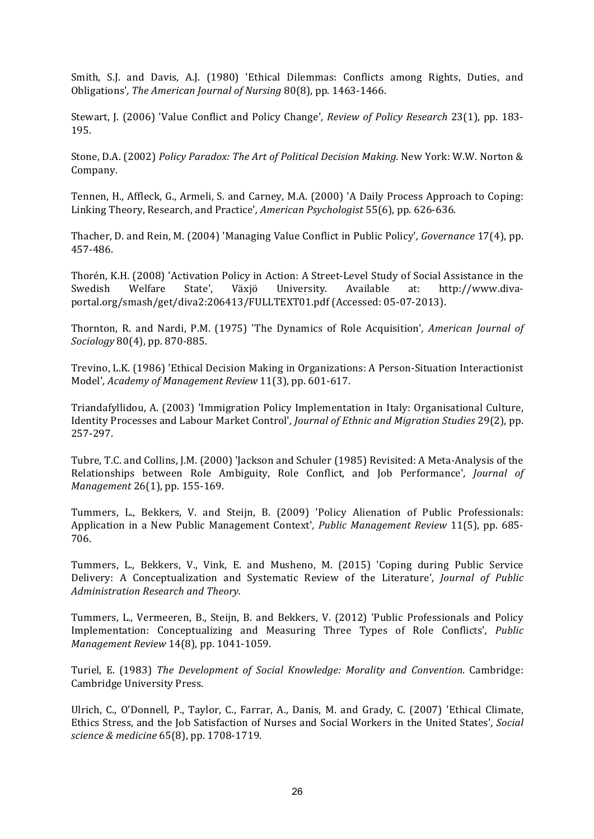Smith, S.J. and Davis, A.J. (1980) 'Ethical Dilemmas: Conflicts among Rights, Duties, and Obligations', The American Journal of Nursing 80(8), pp. 1463-1466.

Stewart, J. (2006) 'Value Conflict and Policy Change', *Review of Policy Research* 23(1), pp. 183-195. 

Stone, D.A. (2002) *Policy Paradox: The Art of Political Decision Making.* New York: W.W. Norton & Company. 

Tennen, H., Affleck, G., Armeli, S. and Carney, M.A. (2000) 'A Daily Process Approach to Coping: Linking Theory, Research, and Practice', *American Psychologist* 55(6), pp. 626-636.

Thacher, D. and Rein, M. (2004) 'Managing Value Conflict in Public Policy', *Governance* 17(4), pp. 457-486. 

Thorén, K.H. (2008) 'Activation Policy in Action: A Street-Level Study of Social Assistance in the Swedish Welfare State', Växjö University. Available at: http://www.divaportal.org/smash/get/diva2:206413/FULLTEXT01.pdf (Accessed: 05-07-2013).

Thornton, R. and Nardi, P.M. (1975) 'The Dynamics of Role Acquisition', *American Journal of Sociology* 80(4), pp. 870-885.

Trevino, L.K. (1986) 'Ethical Decision Making in Organizations: A Person-Situation Interactionist Model', Academy of Management Review 11(3), pp. 601-617.

Triandafyllidou, A. (2003) 'Immigration Policy Implementation in Italy: Organisational Culture, Identity Processes and Labour Market Control', *Journal of Ethnic and Migration Studies* 29(2), pp. 257-297. 

Tubre, T.C. and Collins, J.M. (2000) 'Jackson and Schuler (1985) Revisited: A Meta-Analysis of the Relationships between Role Ambiguity, Role Conflict, and Job Performance', *Journal of Management* 26(1), pp. 155-169.

Tummers, L., Bekkers, V. and Steijn, B. (2009) 'Policy Alienation of Public Professionals: Application in a New Public Management Context', Public Management Review 11(5), pp. 685-706. 

Tummers, L., Bekkers, V., Vink, E. and Musheno, M. (2015) 'Coping during Public Service Delivery: A Conceptualization and Systematic Review of the Literature', *Journal of Public Administration Research and Theory.* 

Tummers, L., Vermeeren, B., Steijn, B. and Bekkers, V. (2012) 'Public Professionals and Policy Implementation: Conceptualizing and Measuring Three Types of Role Conflicts'*, Public Management Review* 14(8), pp. 1041-1059.

Turiel, E. (1983) *The Development of Social Knowledge: Morality and Convention.* Cambridge: Cambridge University Press.

Ulrich, C., O'Donnell, P., Taylor, C., Farrar, A., Danis, M. and Grady, C. (2007) 'Ethical Climate, Ethics Stress, and the Job Satisfaction of Nurses and Social Workers in the United States', Social *science & medicine* 65(8), pp. 1708-1719.